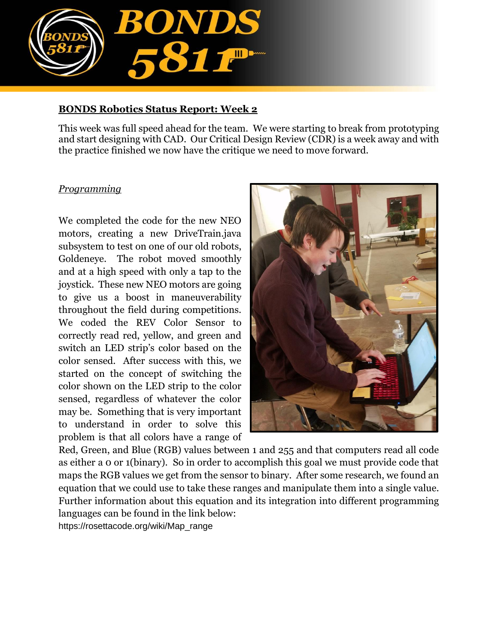

#### **BONDS Robotics Status Report: Week 2**

This week was full speed ahead for the team. We were starting to break from prototyping and start designing with CAD. Our Critical Design Review (CDR) is a week away and with the practice finished we now have the critique we need to move forward.

#### *Programming*

We completed the code for the new NEO motors, creating a new DriveTrain.java subsystem to test on one of our old robots, Goldeneye. The robot moved smoothly and at a high speed with only a tap to the joystick. These new NEO motors are going to give us a boost in maneuverability throughout the field during competitions. We coded the REV Color Sensor to correctly read red, yellow, and green and switch an LED strip's color based on the color sensed. After success with this, we started on the concept of switching the color shown on the LED strip to the color sensed, regardless of whatever the color may be. Something that is very important to understand in order to solve this problem is that all colors have a range of



Red, Green, and Blue (RGB) values between 1 and 255 and that computers read all code as either a 0 or 1(binary). So in order to accomplish this goal we must provide code that maps the RGB values we get from the sensor to binary. After some research, we found an equation that we could use to take these ranges and manipulate them into a single value. Further information about this equation and its integration into different programming languages can be found in the link below: https://rosettacode.org/wiki/Map\_range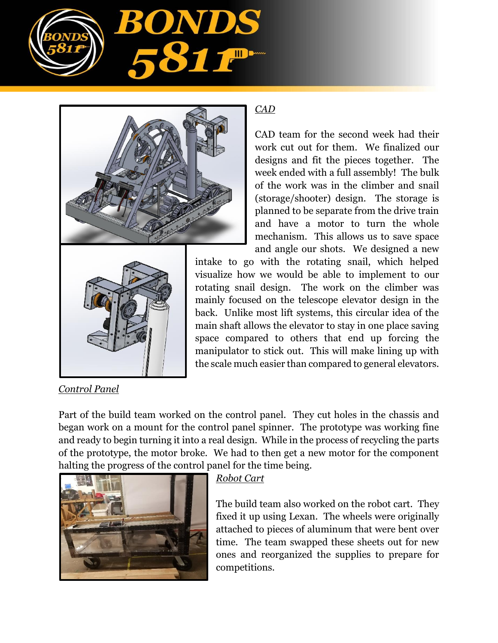



# *CAD*

CAD team for the second week had their work cut out for them. We finalized our designs and fit the pieces together. The week ended with a full assembly! The bulk of the work was in the climber and snail (storage/shooter) design. The storage is planned to be separate from the drive train and have a motor to turn the whole mechanism. This allows us to save space and angle our shots. We designed a new

intake to go with the rotating snail, which helped visualize how we would be able to implement to our rotating snail design. The work on the climber was mainly focused on the telescope elevator design in the back. Unlike most lift systems, this circular idea of the main shaft allows the elevator to stay in one place saving space compared to others that end up forcing the manipulator to stick out. This will make lining up with the scale much easier than compared to general elevators.

## *Control Panel*

Part of the build team worked on the control panel. They cut holes in the chassis and began work on a mount for the control panel spinner. The prototype was working fine and ready to begin turning it into a real design. While in the process of recycling the parts of the prototype, the motor broke. We had to then get a new motor for the component halting the progress of the control panel for the time being.



## *Robot Cart*

The build team also worked on the robot cart. They fixed it up using Lexan. The wheels were originally attached to pieces of aluminum that were bent over time. The team swapped these sheets out for new ones and reorganized the supplies to prepare for competitions.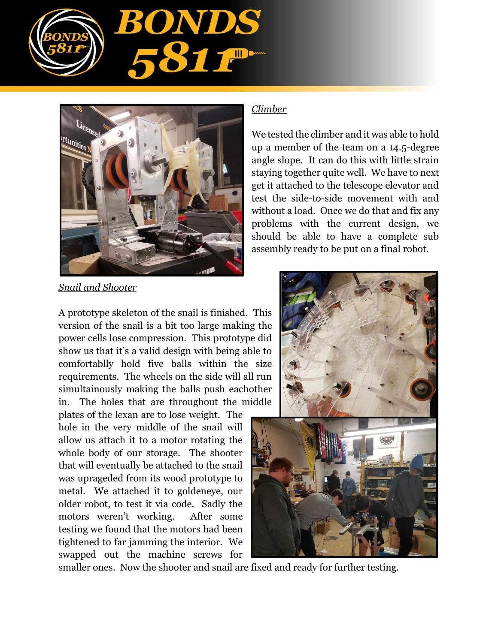



*Snail and Shooter*

A prototype skeleton of the snail is finished. This version of the snail is a bit too large making the power cells lose compression. This prototype did show us that it's a valid design with being able to comfortablly hold five balls within the size requirements. The wheels on the side will all run simultainously making the balls push eachother in. The holes that are throughout the middle

plates of the lexan are to lose weight. The hole in the very middle of the snail will allow us attach it to a motor rotating the whole body of our storage. The shooter that will eventually be attached to the snail was uprageded from its wood prototype to metal. We attached it to goldeneye, our older robot, to test it via code. Sadly the motors weren't working. After some testing we found that the motors had been tightened to far jamming the interior. We swapped out the machine screws for

### *Climber*

We tested the climber and it was able to hold up a member of the team on a 14.5-degree angle slope. It can do this with little strain staying together quite well. We have to next get it attached to the telescope elevator and test the side-to-side movement with and without a load. Once we do that and fix any problems with the current design, we should be able to have a complete sub assembly ready to be put on a final robot.



smaller ones. Now the shooter and snail are fixed and ready for further testing.